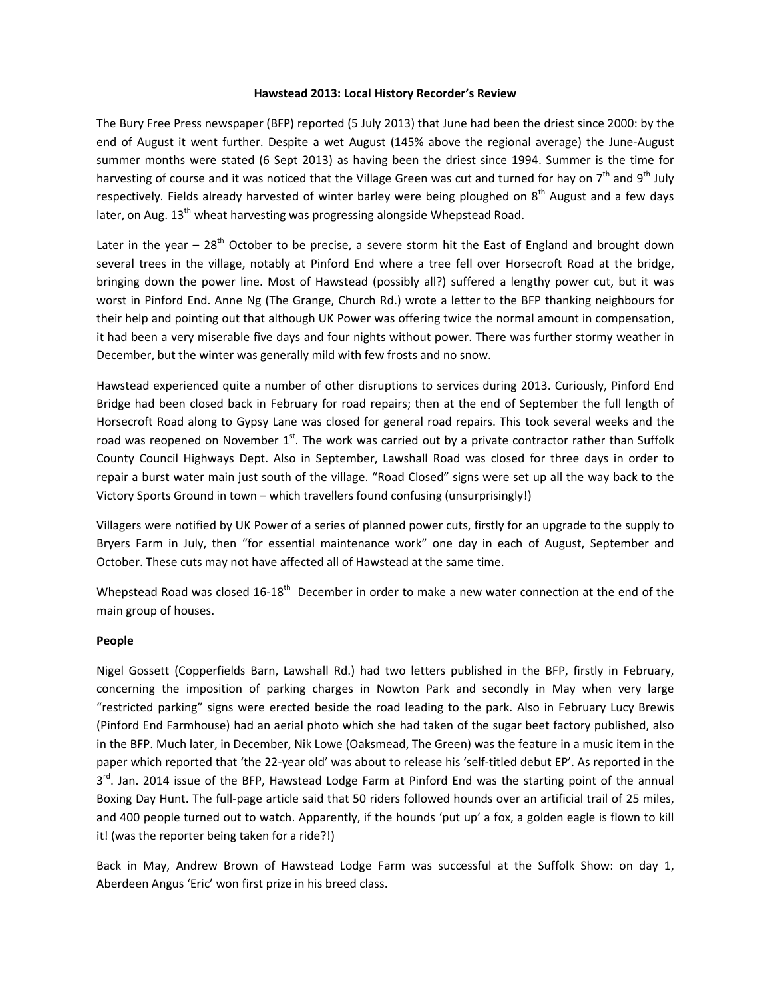### Hawstead 2013: Local History Recorder's Review

The Bury Free Press newspaper (BFP) reported (5 July 2013) that June had been the driest since 2000: by the end of August it went further. Despite a wet August (145% above the regional average) the June-August summer months were stated (6 Sept 2013) as having been the driest since 1994. Summer is the time for harvesting of course and it was noticed that the Village Green was cut and turned for hay on 7<sup>th</sup> and 9<sup>th</sup> July respectively. Fields already harvested of winter barley were being ploughed on 8<sup>th</sup> August and a few days later, on Aug.  $13<sup>th</sup>$  wheat harvesting was progressing alongside Whepstead Road.

Later in the year  $-28^{th}$  October to be precise, a severe storm hit the East of England and brought down several trees in the village, notably at Pinford End where a tree fell over Horsecroft Road at the bridge, bringing down the power line. Most of Hawstead (possibly all?) suffered a lengthy power cut, but it was worst in Pinford End. Anne Ng (The Grange, Church Rd.) wrote a letter to the BFP thanking neighbours for their help and pointing out that although UK Power was offering twice the normal amount in compensation, it had been a very miserable five days and four nights without power. There was further stormy weather in December, but the winter was generally mild with few frosts and no snow.

Hawstead experienced quite a number of other disruptions to services during 2013. Curiously, Pinford End Bridge had been closed back in February for road repairs; then at the end of September the full length of Horsecroft Road along to Gypsy Lane was closed for general road repairs. This took several weeks and the road was reopened on November  $1<sup>st</sup>$ . The work was carried out by a private contractor rather than Suffolk County Council Highways Dept. Also in September, Lawshall Road was closed for three days in order to repair a burst water main just south of the village. "Road Closed" signs were set up all the way back to the Victory Sports Ground in town – which travellers found confusing (unsurprisingly!)

Villagers were notified by UK Power of a series of planned power cuts, firstly for an upgrade to the supply to Bryers Farm in July, then "for essential maintenance work" one day in each of August, September and October. These cuts may not have affected all of Hawstead at the same time.

Whepstead Road was closed 16-18<sup>th</sup> December in order to make a new water connection at the end of the main group of houses.

## People

Nigel Gossett (Copperfields Barn, Lawshall Rd.) had two letters published in the BFP, firstly in February, concerning the imposition of parking charges in Nowton Park and secondly in May when very large "restricted parking" signs were erected beside the road leading to the park. Also in February Lucy Brewis (Pinford End Farmhouse) had an aerial photo which she had taken of the sugar beet factory published, also in the BFP. Much later, in December, Nik Lowe (Oaksmead, The Green) was the feature in a music item in the paper which reported that 'the 22-year old' was about to release his 'self-titled debut EP'. As reported in the 3<sup>rd</sup>. Jan. 2014 issue of the BFP, Hawstead Lodge Farm at Pinford End was the starting point of the annual Boxing Day Hunt. The full-page article said that 50 riders followed hounds over an artificial trail of 25 miles, and 400 people turned out to watch. Apparently, if the hounds 'put up' a fox, a golden eagle is flown to kill it! (was the reporter being taken for a ride?!)

Back in May, Andrew Brown of Hawstead Lodge Farm was successful at the Suffolk Show: on day 1, Aberdeen Angus 'Eric' won first prize in his breed class.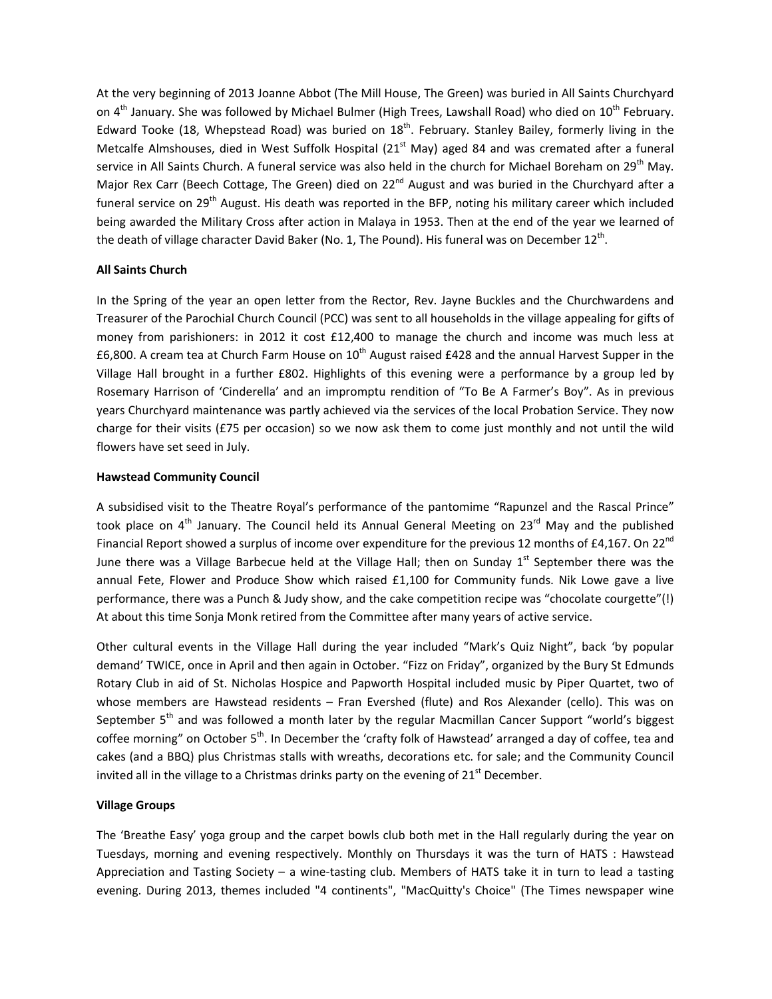At the very beginning of 2013 Joanne Abbot (The Mill House, The Green) was buried in All Saints Churchyard on 4<sup>th</sup> January. She was followed by Michael Bulmer (High Trees, Lawshall Road) who died on 10<sup>th</sup> February. Edward Tooke (18, Whepstead Road) was buried on  $18<sup>th</sup>$ . February. Stanley Bailey, formerly living in the Metcalfe Almshouses, died in West Suffolk Hospital (21<sup>st</sup> May) aged 84 and was cremated after a funeral service in All Saints Church. A funeral service was also held in the church for Michael Boreham on 29<sup>th</sup> May. Major Rex Carr (Beech Cottage, The Green) died on 22<sup>nd</sup> August and was buried in the Churchyard after a funeral service on 29<sup>th</sup> August. His death was reported in the BFP, noting his military career which included being awarded the Military Cross after action in Malaya in 1953. Then at the end of the year we learned of the death of village character David Baker (No. 1, The Pound). His funeral was on December 12<sup>th</sup>.

## All Saints Church

In the Spring of the year an open letter from the Rector, Rev. Jayne Buckles and the Churchwardens and Treasurer of the Parochial Church Council (PCC) was sent to all households in the village appealing for gifts of money from parishioners: in 2012 it cost £12,400 to manage the church and income was much less at £6,800. A cream tea at Church Farm House on  $10^{th}$  August raised £428 and the annual Harvest Supper in the Village Hall brought in a further £802. Highlights of this evening were a performance by a group led by Rosemary Harrison of 'Cinderella' and an impromptu rendition of "To Be A Farmer's Boy". As in previous years Churchyard maintenance was partly achieved via the services of the local Probation Service. They now charge for their visits (£75 per occasion) so we now ask them to come just monthly and not until the wild flowers have set seed in July.

## Hawstead Community Council

A subsidised visit to the Theatre Royal's performance of the pantomime "Rapunzel and the Rascal Prince" took place on  $4<sup>th</sup>$  January. The Council held its Annual General Meeting on 23<sup>rd</sup> May and the published Financial Report showed a surplus of income over expenditure for the previous 12 months of £4,167. On 22<sup>nd</sup> June there was a Village Barbecue held at the Village Hall; then on Sunday 1<sup>st</sup> September there was the annual Fete, Flower and Produce Show which raised £1,100 for Community funds. Nik Lowe gave a live performance, there was a Punch & Judy show, and the cake competition recipe was "chocolate courgette"(!) At about this time Sonja Monk retired from the Committee after many years of active service.

Other cultural events in the Village Hall during the year included "Mark's Quiz Night", back 'by popular demand' TWICE, once in April and then again in October. "Fizz on Friday", organized by the Bury St Edmunds Rotary Club in aid of St. Nicholas Hospice and Papworth Hospital included music by Piper Quartet, two of whose members are Hawstead residents – Fran Evershed (flute) and Ros Alexander (cello). This was on September  $5<sup>th</sup>$  and was followed a month later by the regular Macmillan Cancer Support "world's biggest coffee morning" on October 5<sup>th</sup>. In December the 'crafty folk of Hawstead' arranged a day of coffee, tea and cakes (and a BBQ) plus Christmas stalls with wreaths, decorations etc. for sale; and the Community Council invited all in the village to a Christmas drinks party on the evening of  $21<sup>st</sup>$  December.

# Village Groups

The 'Breathe Easy' yoga group and the carpet bowls club both met in the Hall regularly during the year on Tuesdays, morning and evening respectively. Monthly on Thursdays it was the turn of HATS : Hawstead Appreciation and Tasting Society – a wine-tasting club. Members of HATS take it in turn to lead a tasting evening. During 2013, themes included "4 continents", "MacQuitty's Choice" (The Times newspaper wine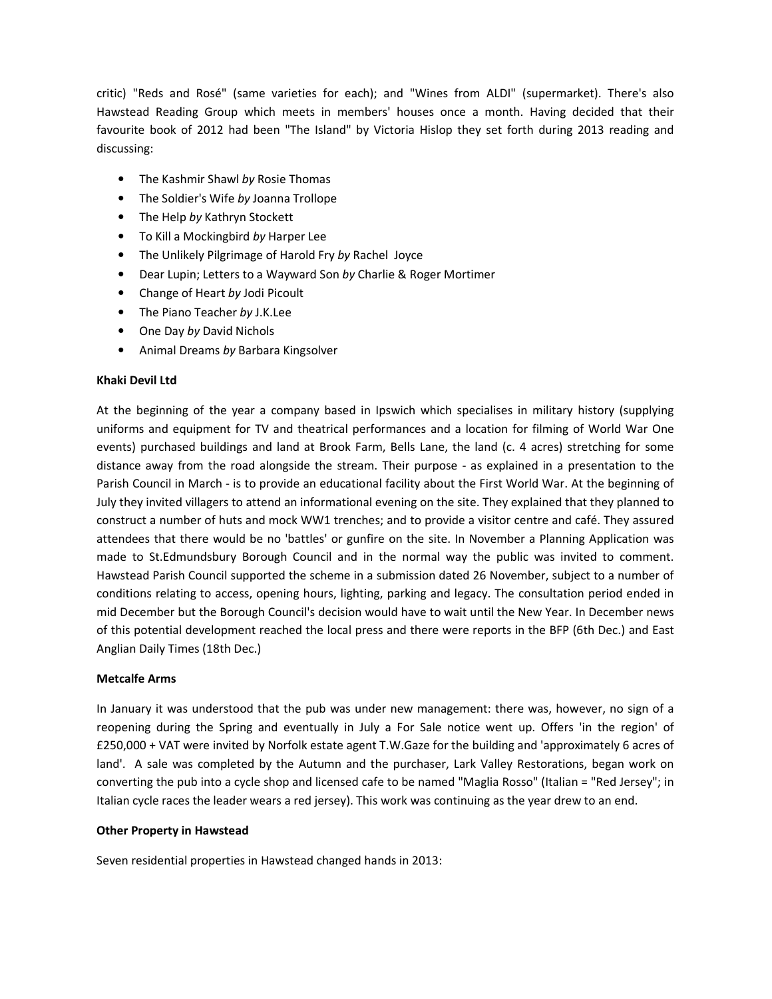critic) "Reds and Rosé" (same varieties for each); and "Wines from ALDI" (supermarket). There's also Hawstead Reading Group which meets in members' houses once a month. Having decided that their favourite book of 2012 had been "The Island" by Victoria Hislop they set forth during 2013 reading and discussing:

- The Kashmir Shawl by Rosie Thomas
- The Soldier's Wife by Joanna Trollope
- The Help by Kathryn Stockett
- To Kill a Mockingbird by Harper Lee
- The Unlikely Pilgrimage of Harold Fry by Rachel Joyce
- Dear Lupin; Letters to a Wayward Son by Charlie & Roger Mortimer
- Change of Heart by Jodi Picoult
- The Piano Teacher by J.K.Lee
- One Day by David Nichols
- Animal Dreams by Barbara Kingsolver

### Khaki Devil Ltd

At the beginning of the year a company based in Ipswich which specialises in military history (supplying uniforms and equipment for TV and theatrical performances and a location for filming of World War One events) purchased buildings and land at Brook Farm, Bells Lane, the land (c. 4 acres) stretching for some distance away from the road alongside the stream. Their purpose - as explained in a presentation to the Parish Council in March - is to provide an educational facility about the First World War. At the beginning of July they invited villagers to attend an informational evening on the site. They explained that they planned to construct a number of huts and mock WW1 trenches; and to provide a visitor centre and café. They assured attendees that there would be no 'battles' or gunfire on the site. In November a Planning Application was made to St.Edmundsbury Borough Council and in the normal way the public was invited to comment. Hawstead Parish Council supported the scheme in a submission dated 26 November, subject to a number of conditions relating to access, opening hours, lighting, parking and legacy. The consultation period ended in mid December but the Borough Council's decision would have to wait until the New Year. In December news of this potential development reached the local press and there were reports in the BFP (6th Dec.) and East Anglian Daily Times (18th Dec.)

#### Metcalfe Arms

In January it was understood that the pub was under new management: there was, however, no sign of a reopening during the Spring and eventually in July a For Sale notice went up. Offers 'in the region' of £250,000 + VAT were invited by Norfolk estate agent T.W.Gaze for the building and 'approximately 6 acres of land'. A sale was completed by the Autumn and the purchaser, Lark Valley Restorations, began work on converting the pub into a cycle shop and licensed cafe to be named "Maglia Rosso" (Italian = "Red Jersey"; in Italian cycle races the leader wears a red jersey). This work was continuing as the year drew to an end.

#### Other Property in Hawstead

Seven residential properties in Hawstead changed hands in 2013: